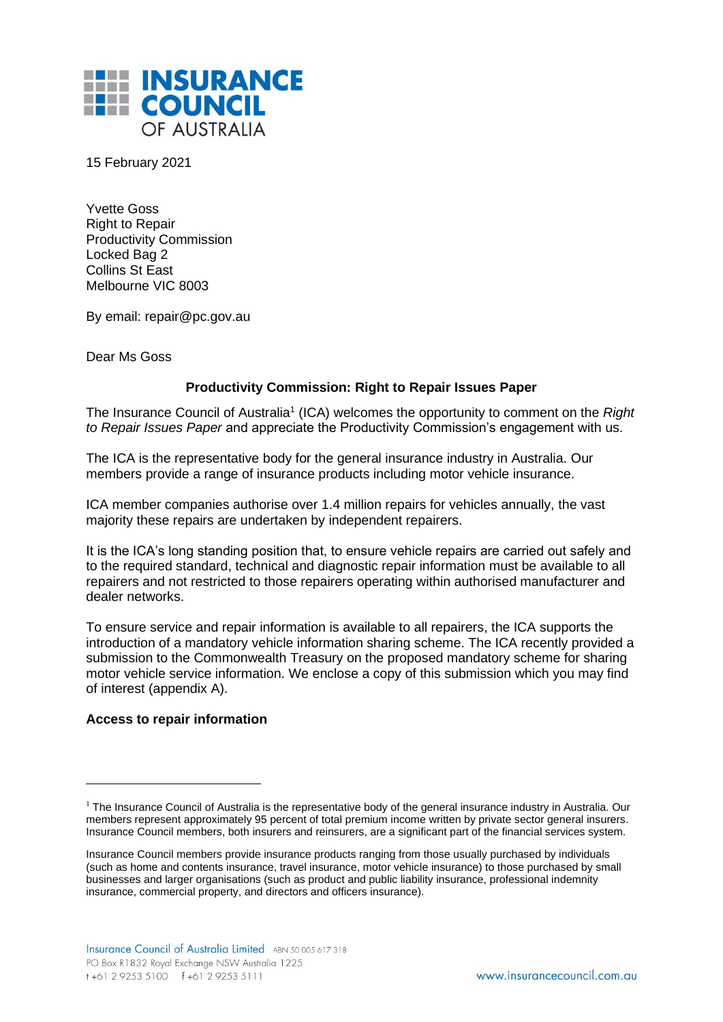

15 February 2021

Yvette Goss Right to Repair Productivity Commission Locked Bag 2 Collins St East Melbourne VIC 8003

By email: [repair@pc.gov.au](mailto:repair@pc.gov.au)

Dear Ms Goss

## **Productivity Commission: Right to Repair Issues Paper**

The Insurance Council of Australia<sup>1</sup> (ICA) welcomes the opportunity to comment on the *Right to Repair Issues Paper* and appreciate the Productivity Commission's engagement with us.

The ICA is the representative body for the general insurance industry in Australia. Our members provide a range of insurance products including motor vehicle insurance.

ICA member companies authorise over 1.4 million repairs for vehicles annually, the vast majority these repairs are undertaken by independent repairers.

It is the ICA's long standing position that, to ensure vehicle repairs are carried out safely and to the required standard, technical and diagnostic repair information must be available to all repairers and not restricted to those repairers operating within authorised manufacturer and dealer networks.

To ensure service and repair information is available to all repairers, the ICA supports the introduction of a mandatory vehicle information sharing scheme. The ICA recently provided a submission to the Commonwealth Treasury on the proposed mandatory scheme for sharing motor vehicle service information. We enclose a copy of this submission which you may find of interest (appendix A).

## **Access to repair information**

 $1$  The Insurance Council of Australia is the representative body of the general insurance industry in Australia. Our members represent approximately 95 percent of total premium income written by private sector general insurers. Insurance Council members, both insurers and reinsurers, are a significant part of the financial services system.

Insurance Council members provide insurance products ranging from those usually purchased by individuals (such as home and contents insurance, travel insurance, motor vehicle insurance) to those purchased by small businesses and larger organisations (such as product and public liability insurance, professional indemnity insurance, commercial property, and directors and officers insurance).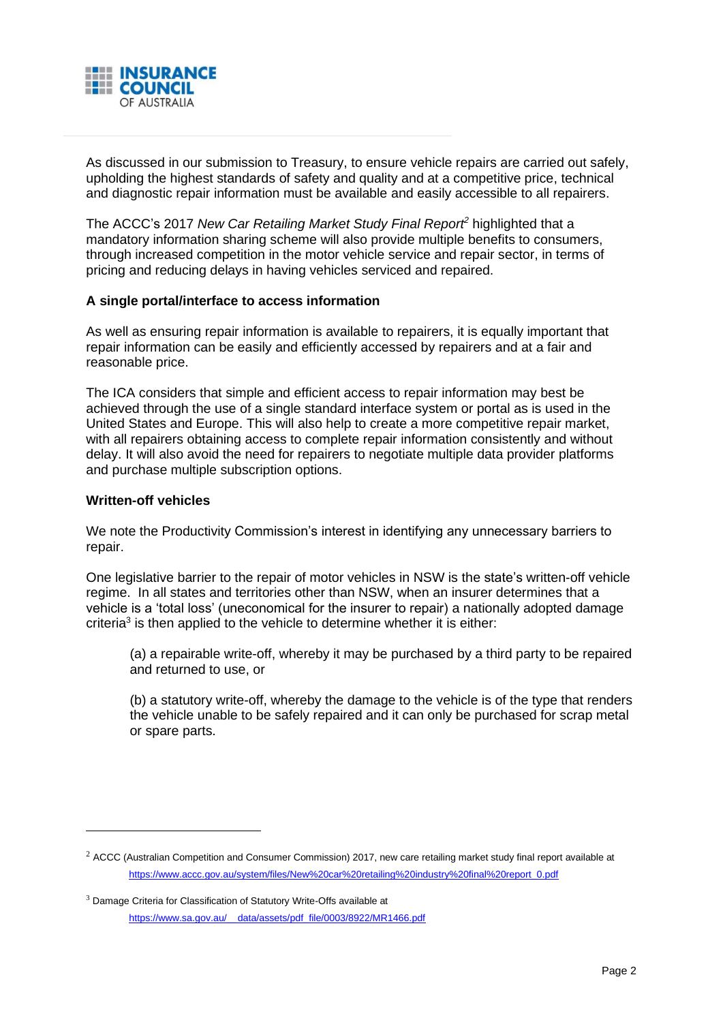

As discussed in our submission to Treasury, to ensure vehicle repairs are carried out safely, upholding the highest standards of safety and quality and at a competitive price, technical and diagnostic repair information must be available and easily accessible to all repairers.

The ACCC's 2017 *New Car Retailing Market Study Final Report<sup>2</sup>* highlighted that a mandatory information sharing scheme will also provide multiple benefits to consumers, through increased competition in the motor vehicle service and repair sector, in terms of pricing and reducing delays in having vehicles serviced and repaired.

## **A single portal/interface to access information**

As well as ensuring repair information is available to repairers, it is equally important that repair information can be easily and efficiently accessed by repairers and at a fair and reasonable price.

The ICA considers that simple and efficient access to repair information may best be achieved through the use of a single standard interface system or portal as is used in the United States and Europe. This will also help to create a more competitive repair market, with all repairers obtaining access to complete repair information consistently and without delay. It will also avoid the need for repairers to negotiate multiple data provider platforms and purchase multiple subscription options.

## **Written-off vehicles**

We note the Productivity Commission's interest in identifying any unnecessary barriers to repair.

One legislative barrier to the repair of motor vehicles in NSW is the state's written-off vehicle regime. In all states and territories other than NSW, when an insurer determines that a vehicle is a 'total loss' (uneconomical for the insurer to repair) a nationally adopted damage criteria<sup>3</sup> is then applied to the vehicle to determine whether it is either:

(a) a repairable write-off, whereby it may be purchased by a third party to be repaired and returned to use, or

(b) a statutory write-off, whereby the damage to the vehicle is of the type that renders the vehicle unable to be safely repaired and it can only be purchased for scrap metal or spare parts.

 $2$  ACCC (Australian Competition and Consumer Commission) 2017, new care retailing market study final report available at [https://www.accc.gov.au/system/files/New%20car%20retailing%20industry%20final%20report\\_0.pdf](https://www.accc.gov.au/system/files/New%20car%20retailing%20industry%20final%20report_0.pdf)

 $3$  Damage Criteria for Classification of Statutory Write-Offs available at [https://www.sa.gov.au/\\_\\_data/assets/pdf\\_file/0003/8922/MR1466.pdf](https://www.sa.gov.au/__data/assets/pdf_file/0003/8922/MR1466.pdf)